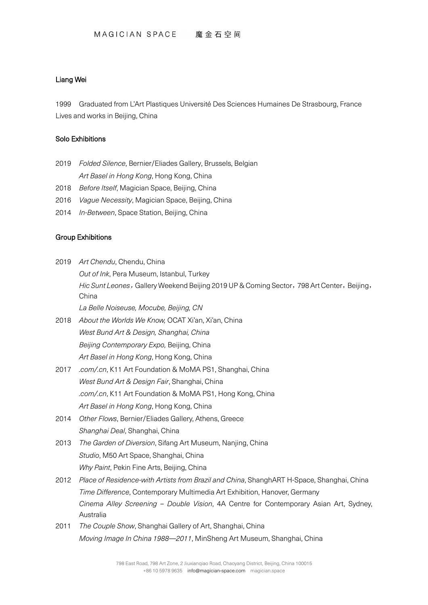## Liang Wei

1999 Graduated from L'Art Plastiques Université Des Sciences Humaines De Strasbourg, France Lives and works in Beijing, China

## Solo Exhibitions

- 2019 *Folded Silence*, Bernier/Eliades Gallery, Brussels, Belgian *Art Basel in Hong Kong*, Hong Kong, China
- 2018 *Before Itself*, Magician Space, Beijing, China
- 2016 *Vague Necessity*, Magician Space, Beijing, China
- 2014 *In-Between*, Space Station, Beijing, China

## Group Exhibitions

- 2019 *Art Chendu*, Chendu, China *Out of Ink*, Pera Museum, Istanbul, Turkey *Hic Sunt Leones*, Gallery Weekend Beijing 2019 UP & Coming Sector, 798 Art Center, Beijing, China *La Belle Noiseuse, Mocube, Beijing, CN*
- 2018 *About the Worlds We Know,* OCAT Xi'an, Xi'an, China *West Bund Art & Design, Shanghai, China Beijing Contemporary Expo,* Beijing, China *Art Basel in Hong Kong*, Hong Kong, China
- 2017 *.com/.cn*, K11 Art Foundation & MoMA PS1, Shanghai, China *West Bund Art & Design Fair*, Shanghai, China *.com/.cn*, K11 Art Foundation & MoMA PS1, Hong Kong, China *Art Basel in Hong Kong*, Hong Kong, China
- 2014 *Other Flows*, Bernier/Eliades Gallery, Athens, Greece *Shanghai Deal*, Shanghai, China
- 2013 *The Garden of Diversion*, Sifang Art Museum, Nanjing, China *Studio*, M50 Art Space, Shanghai, China *Why Paint*, Pekin Fine Arts, Beijing, China
- 2012 *Place of Residence-with Artists from Brazil and China*, ShanghART H-Space, Shanghai, China *Time Difference*, Contemporary Multimedia Art Exhibition, Hanover, Germany *Cinema Alley Screening – Double Vision*, 4A Centre for Contemporary Asian Art, Sydney, Australia
- 2011 *The Couple Show*, Shanghai Gallery of Art, Shanghai, China *Moving Image In China 1988—2011*, MinSheng Art Museum, Shanghai, China